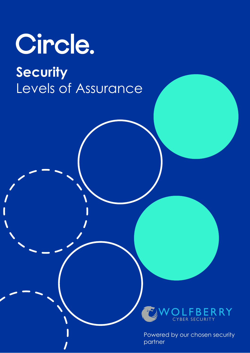# Circle.

## **Security**  Levels of Assurance



Powered by our chosen security partner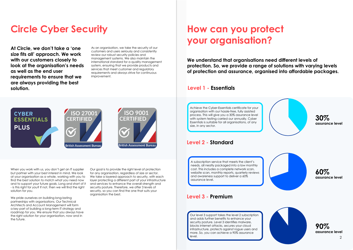### **Circle Cyber Security**

**At Circle, we don't take a 'one size fits all' approach. We work with our customers closely to look at the organisation's needs as well as the end user requirements to ensure that we are always providing the best solution.**

As an organisation, we take the security of our customers and users seriously and consistently review our robust security policies and management systems. We also maintain the international standard for a quality management system, ensuring that we provide products and services that meet customer and regulatory requirements and always strive for continuous improvement.

## **CYBER ESSENTIALS PLUS**





Our goal is to provide the right level of protection for any organisation, regardless of size or sector. We take a layered approach to security, with each layer protecting a different part of your infrastructure and services to enhance the overall strength and security posture. Therefore, we offer 3 levels of security, so you can find the one that suits your organisation the best.

We pride ourselves on building long-lasting partnerships with organisations. Our Technical Architects and Account Management will form a key part of building a long-term IT strategy and roadmap for you. We ensure that you always have the right solution for your organisation, now and in the future.

When you work with us, you don't get an IT supplier but partner with your best interest in mind. We look at your organisation as a whole, working with you to find the best solution to match what you need now and to support your future goals. Long and short of it - is this right for you? If not, then we will find the right solution for you.

### **How can you protect your organisation?**

**We understand that organisations need different levels of protection. So, we provide a range of solutions with varying levels of protection and assurance, organised into affordable packages.**

#### **Level 1 - Essentials**

#### **Level 2 - Standard**

#### **Level 3 - Premium**

Achieve the Cyber-Essentials certificate for your organisation with our hassle-free, fully assisted process. This will give you a 30% assurance level with system testing carried our annually. Cyber Essentials is suitable for all organisations, of any size, in any sector.

A subscription service that meets the client's needs, all neatly packaged into a low monthly cost. This includes a complete network scan, website scan, monthly reports, quarterly reviews and awareness support to deliver a 60% assurance level.

Our level 3 support takes the level 2 subscription and adds further benefits to enhance your security posture. Level 3 identifies malware, blocks internet attacks, secures your cloud infrastructure, protects against rogue users and more. So, you can achieve a 90% assurance



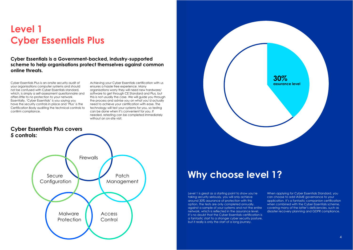### **Level 1 Cyber Essentials Plus**

Cyber Essentials Plus is an-onsite security audit of your organisations computer systems and should not be confused with Cyber Essentials standard, which, is simply a self-assessment questionnaire and offers little to no protection to your network. Essentially, 'Cyber Essentials' is you saying you have the security controls in place and 'Plus' is the Certification Body auditing the technical controls to confirm compliance.

Achieving your Cyber Essentials certification with us ensures a hassle free experience. Many organisations worry they will need new hardware/ software to get through CE Standard and Plus, but this is not usually the case. We will guide you through the process and advise you on what you'd actually need to achieve your certification with ease. The technology will test your systems for you, so testing can be done when it's convenient for you. If needed, retesting can be completed immediately without an on-site visit.



### **Why choose level 1?**

When applying for Cyber Essentials Standard, you can choose to add IASME governance to your application. It's a fantastic companion certification when combined with the Cyber Essentials scheme, covering many of the latter's deficiencies, such as disaster recovery planning and GDPR compliance.

Level 1 is great as a starting point to show you're taking security seriously, you will only achieve around 30% assurance of protection with this option. The tests are only completed annually, against a sample of your systems and not the entire network, which is reflected in the assurance level. It's no doubt that the Cyber Essentials certification is a fantastic start to a stronger cyber security posture, but it really is only the start of a long journey.





**Cyber Essentials is a Government-backed, industry-supported scheme to help organisations protect themselves against common online threats.**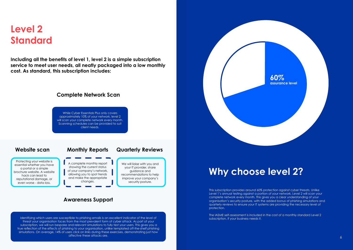### **Level 2 Standard**

**Including all the benefits of level 1, level 2 is a simple subscription service to meet user needs, all neatly packaged into a low monthly cost. As standard, this subscription includes:**

#### **Complete Network Scan**

While Cyber Essentials Plus only covers approximately 10% of your network, level 2 will scan your complete network every month. Scanning schedules can be provided to suit client needs.

### **Website scan Monthly Reports Quarterly Reviews**

#### **Awareness Support**

We will liaise with you and your IT provider, share guidance and recommendations to help improve your company's

Identifying which users are susceptible to phishing emails is an excellent indicator of the level of threat your organisation faces from the most prevalent form of cyber attack. As part of your subscription, we will run bespoke and relevant simulations to fully test your users. This gives you a true reflection of the effects of phishing to your organisation, unlike templated off-the-shelf phishing simulations. On average, 14% of users click on links during these exercises, demonstrating just how affective these attacks are.

Protecting your website is essential whether you have a portal or a simple brochure website. A website hack can lead to reputational damage, or even worse - data loss.

A complete monthly report showing the current status of your company's network, allowing you to spot trends and make the appropriate changes.

security posture.

### **Why choose level 2?**

This subscription provides around 60% protection against cyber threats. Unlike Level 1's annual testing against a portion of your network, Level 2 will scan your complete network every month. This gives you a clear understanding of your organisation's security posture, with the added bonus of phishing simulations and quarterly reviews to ensure your IT systems are providing the necessary level of protection.

The IASME self-assessment is included in the cost of a monthly standard Level 2 subscription, if your business needs it.